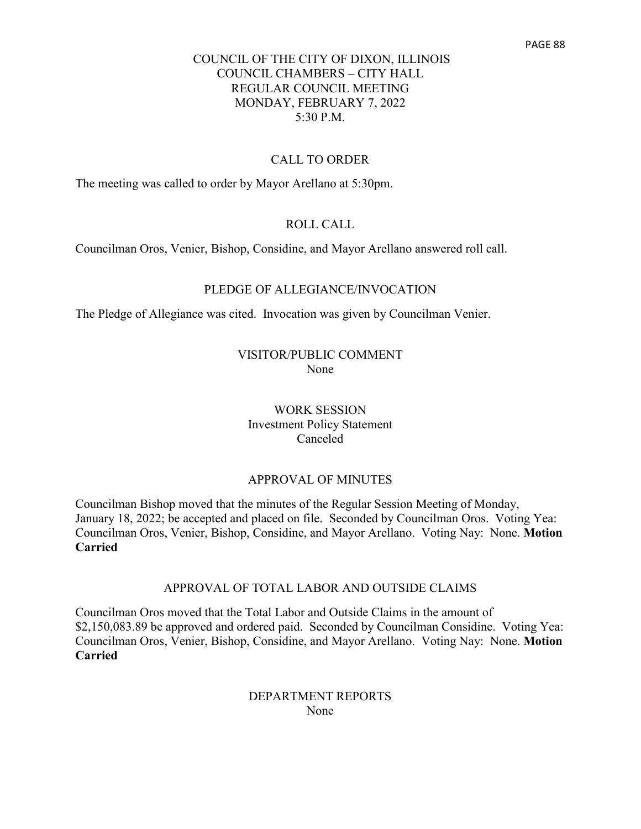#### CALL TO ORDER

The meeting was called to order by Mayor Arellano at 5:30pm.

#### ROLL CALL

Councilman Oros, Venier, Bishop, Considine, and Mayor Arellano answered roll call.

#### PLEDGE OF ALLEGIANCE/INVOCATION

The Pledge of Allegiance was cited. Invocation was given by Councilman Venier.

#### VISITOR/PUBLIC COMMENT None

WORK SESSION Investment Policy Statement Canceled

### APPROVAL OF MINUTES

Councilman Bishop moved that the minutes of the Regular Session Meeting of Monday, January 18, 2022; be accepted and placed on file. Seconded by Councilman Oros. Voting Yea: Councilman Oros, Venier, Bishop, Considine, and Mayor Arellano. Voting Nay: None. **Motion Carried**

#### APPROVAL OF TOTAL LABOR AND OUTSIDE CLAIMS

Councilman Oros moved that the Total Labor and Outside Claims in the amount of \$2,150,083.89 be approved and ordered paid. Seconded by Councilman Considine. Voting Yea: Councilman Oros, Venier, Bishop, Considine, and Mayor Arellano. Voting Nay: None. **Motion Carried**

## DEPARTMENT REPORTS None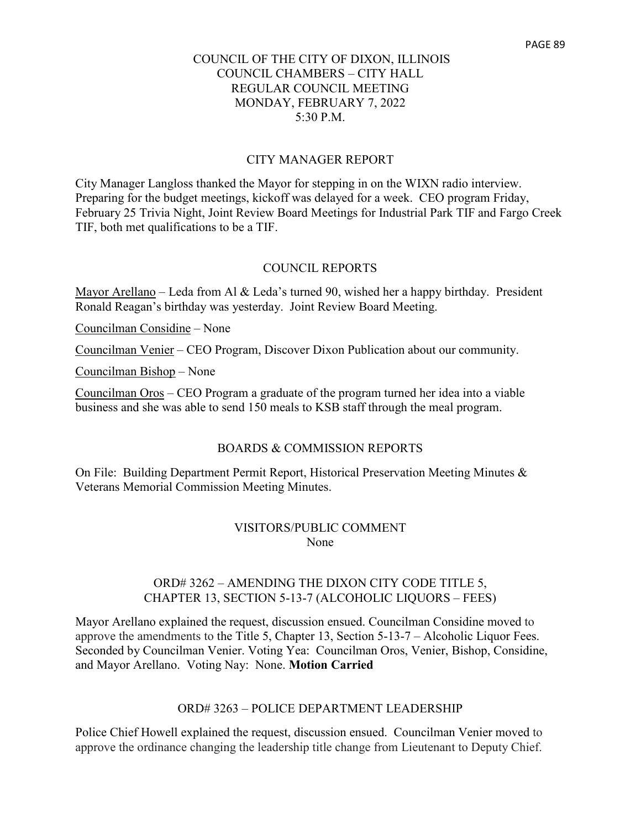#### CITY MANAGER REPORT

City Manager Langloss thanked the Mayor for stepping in on the WIXN radio interview. Preparing for the budget meetings, kickoff was delayed for a week. CEO program Friday, February 25 Trivia Night, Joint Review Board Meetings for Industrial Park TIF and Fargo Creek TIF, both met qualifications to be a TIF.

#### COUNCIL REPORTS

Mayor Arellano – Leda from Al & Leda's turned 90, wished her a happy birthday. President Ronald Reagan's birthday was yesterday. Joint Review Board Meeting.

Councilman Considine – None

Councilman Venier – CEO Program, Discover Dixon Publication about our community.

Councilman Bishop – None

Councilman Oros – CEO Program a graduate of the program turned her idea into a viable business and she was able to send 150 meals to KSB staff through the meal program.

#### BOARDS & COMMISSION REPORTS

On File: Building Department Permit Report, Historical Preservation Meeting Minutes & Veterans Memorial Commission Meeting Minutes.

#### VISITORS/PUBLIC COMMENT None

## ORD# 3262 – AMENDING THE DIXON CITY CODE TITLE 5, CHAPTER 13, SECTION 5-13-7 (ALCOHOLIC LIQUORS – FEES)

Mayor Arellano explained the request, discussion ensued. Councilman Considine moved to approve the amendments to the Title 5, Chapter 13, Section 5-13-7 – Alcoholic Liquor Fees. Seconded by Councilman Venier. Voting Yea: Councilman Oros, Venier, Bishop, Considine, and Mayor Arellano. Voting Nay: None. **Motion Carried**

#### ORD# 3263 – POLICE DEPARTMENT LEADERSHIP

Police Chief Howell explained the request, discussion ensued. Councilman Venier moved to approve the ordinance changing the leadership title change from Lieutenant to Deputy Chief.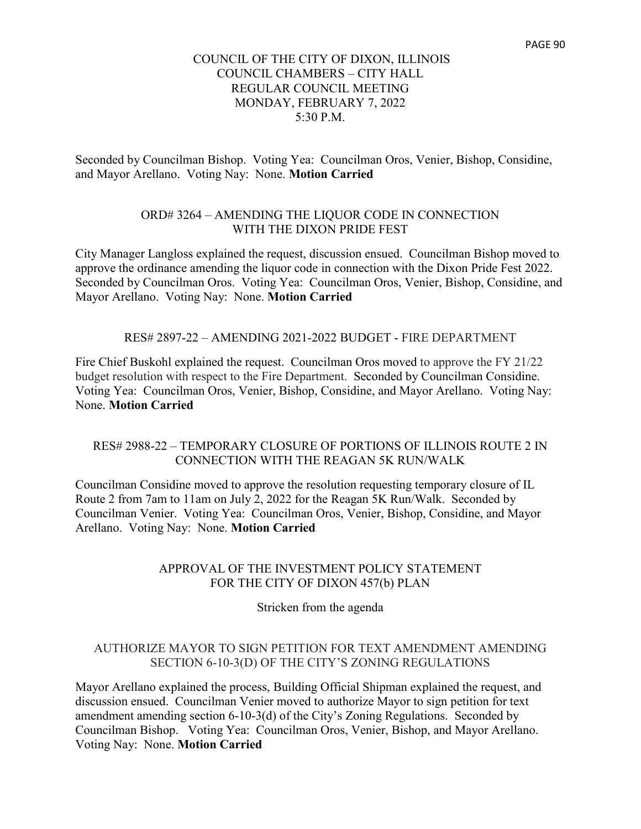Seconded by Councilman Bishop. Voting Yea: Councilman Oros, Venier, Bishop, Considine, and Mayor Arellano. Voting Nay: None. **Motion Carried**

# ORD# 3264 – AMENDING THE LIQUOR CODE IN CONNECTION WITH THE DIXON PRIDE FEST

City Manager Langloss explained the request, discussion ensued. Councilman Bishop moved to approve the ordinance amending the liquor code in connection with the Dixon Pride Fest 2022. Seconded by Councilman Oros. Voting Yea: Councilman Oros, Venier, Bishop, Considine, and Mayor Arellano. Voting Nay: None. **Motion Carried**

#### RES# 2897-22 – AMENDING 2021-2022 BUDGET - FIRE DEPARTMENT

Fire Chief Buskohl explained the request. Councilman Oros moved to approve the FY 21/22 budget resolution with respect to the Fire Department. Seconded by Councilman Considine. Voting Yea: Councilman Oros, Venier, Bishop, Considine, and Mayor Arellano. Voting Nay: None. **Motion Carried**

## RES# 2988-22 – TEMPORARY CLOSURE OF PORTIONS OF ILLINOIS ROUTE 2 IN CONNECTION WITH THE REAGAN 5K RUN/WALK

Councilman Considine moved to approve the resolution requesting temporary closure of IL Route 2 from 7am to 11am on July 2, 2022 for the Reagan 5K Run/Walk. Seconded by Councilman Venier. Voting Yea: Councilman Oros, Venier, Bishop, Considine, and Mayor Arellano. Voting Nay: None. **Motion Carried**

## APPROVAL OF THE INVESTMENT POLICY STATEMENT FOR THE CITY OF DIXON 457(b) PLAN

Stricken from the agenda

## AUTHORIZE MAYOR TO SIGN PETITION FOR TEXT AMENDMENT AMENDING SECTION 6-10-3(D) OF THE CITY'S ZONING REGULATIONS

Mayor Arellano explained the process, Building Official Shipman explained the request, and discussion ensued. Councilman Venier moved to authorize Mayor to sign petition for text amendment amending section 6-10-3(d) of the City's Zoning Regulations. Seconded by Councilman Bishop. Voting Yea: Councilman Oros, Venier, Bishop, and Mayor Arellano. Voting Nay: None. **Motion Carried**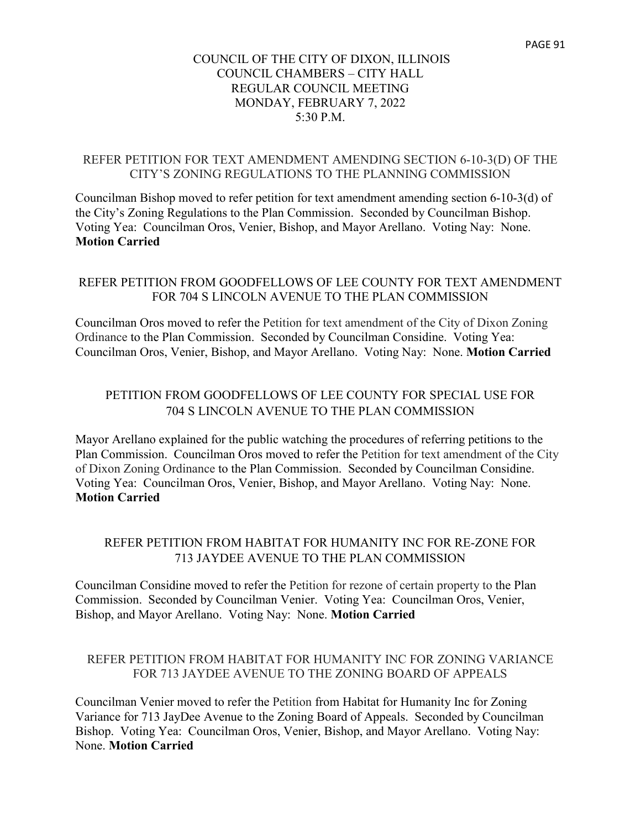## REFER PETITION FOR TEXT AMENDMENT AMENDING SECTION 6-10-3(D) OF THE CITY'S ZONING REGULATIONS TO THE PLANNING COMMISSION

Councilman Bishop moved to refer petition for text amendment amending section 6-10-3(d) of the City's Zoning Regulations to the Plan Commission. Seconded by Councilman Bishop. Voting Yea: Councilman Oros, Venier, Bishop, and Mayor Arellano. Voting Nay: None. **Motion Carried**

# REFER PETITION FROM GOODFELLOWS OF LEE COUNTY FOR TEXT AMENDMENT FOR 704 S LINCOLN AVENUE TO THE PLAN COMMISSION

Councilman Oros moved to refer the Petition for text amendment of the City of Dixon Zoning Ordinance to the Plan Commission. Seconded by Councilman Considine. Voting Yea: Councilman Oros, Venier, Bishop, and Mayor Arellano. Voting Nay: None. **Motion Carried**

# PETITION FROM GOODFELLOWS OF LEE COUNTY FOR SPECIAL USE FOR 704 S LINCOLN AVENUE TO THE PLAN COMMISSION

Mayor Arellano explained for the public watching the procedures of referring petitions to the Plan Commission. Councilman Oros moved to refer the Petition for text amendment of the City of Dixon Zoning Ordinance to the Plan Commission. Seconded by Councilman Considine. Voting Yea: Councilman Oros, Venier, Bishop, and Mayor Arellano. Voting Nay: None. **Motion Carried**

# REFER PETITION FROM HABITAT FOR HUMANITY INC FOR RE-ZONE FOR 713 JAYDEE AVENUE TO THE PLAN COMMISSION

Councilman Considine moved to refer the Petition for rezone of certain property to the Plan Commission. Seconded by Councilman Venier. Voting Yea: Councilman Oros, Venier, Bishop, and Mayor Arellano. Voting Nay: None. **Motion Carried**

# REFER PETITION FROM HABITAT FOR HUMANITY INC FOR ZONING VARIANCE FOR 713 JAYDEE AVENUE TO THE ZONING BOARD OF APPEALS

Councilman Venier moved to refer the Petition from Habitat for Humanity Inc for Zoning Variance for 713 JayDee Avenue to the Zoning Board of Appeals. Seconded by Councilman Bishop. Voting Yea: Councilman Oros, Venier, Bishop, and Mayor Arellano. Voting Nay: None. **Motion Carried**